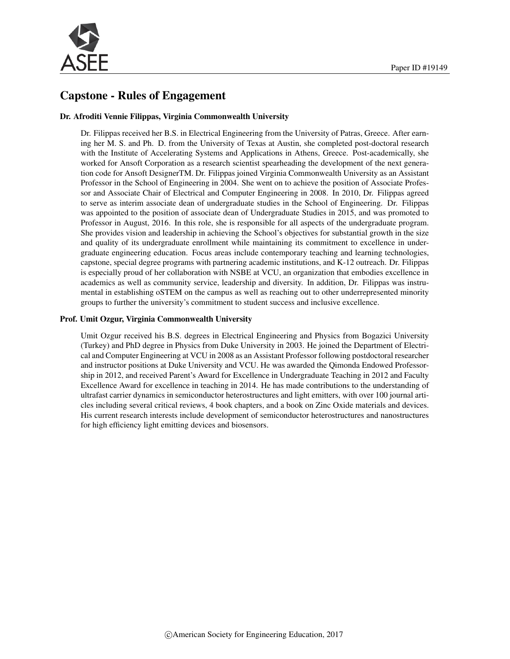

# Capstone - Rules of Engagement

#### Dr. Afroditi Vennie Filippas, Virginia Commonwealth University

Dr. Filippas received her B.S. in Electrical Engineering from the University of Patras, Greece. After earning her M. S. and Ph. D. from the University of Texas at Austin, she completed post-doctoral research with the Institute of Accelerating Systems and Applications in Athens, Greece. Post-academically, she worked for Ansoft Corporation as a research scientist spearheading the development of the next generation code for Ansoft DesignerTM. Dr. Filippas joined Virginia Commonwealth University as an Assistant Professor in the School of Engineering in 2004. She went on to achieve the position of Associate Professor and Associate Chair of Electrical and Computer Engineering in 2008. In 2010, Dr. Filippas agreed to serve as interim associate dean of undergraduate studies in the School of Engineering. Dr. Filippas was appointed to the position of associate dean of Undergraduate Studies in 2015, and was promoted to Professor in August, 2016. In this role, she is responsible for all aspects of the undergraduate program. She provides vision and leadership in achieving the School's objectives for substantial growth in the size and quality of its undergraduate enrollment while maintaining its commitment to excellence in undergraduate engineering education. Focus areas include contemporary teaching and learning technologies, capstone, special degree programs with partnering academic institutions, and K-12 outreach. Dr. Filippas is especially proud of her collaboration with NSBE at VCU, an organization that embodies excellence in academics as well as community service, leadership and diversity. In addition, Dr. Filippas was instrumental in establishing oSTEM on the campus as well as reaching out to other underrepresented minority groups to further the university's commitment to student success and inclusive excellence.

#### Prof. Umit Ozgur, Virginia Commonwealth University

Umit Ozgur received his B.S. degrees in Electrical Engineering and Physics from Bogazici University (Turkey) and PhD degree in Physics from Duke University in 2003. He joined the Department of Electrical and Computer Engineering at VCU in 2008 as an Assistant Professor following postdoctoral researcher and instructor positions at Duke University and VCU. He was awarded the Qimonda Endowed Professorship in 2012, and received Parent's Award for Excellence in Undergraduate Teaching in 2012 and Faculty Excellence Award for excellence in teaching in 2014. He has made contributions to the understanding of ultrafast carrier dynamics in semiconductor heterostructures and light emitters, with over 100 journal articles including several critical reviews, 4 book chapters, and a book on Zinc Oxide materials and devices. His current research interests include development of semiconductor heterostructures and nanostructures for high efficiency light emitting devices and biosensors.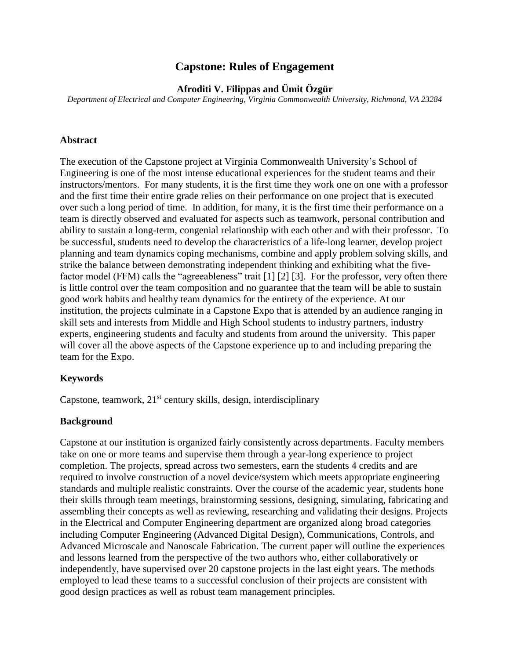## **Capstone: Rules of Engagement**

**Afroditi V. Filippas and Ümit Özgür**

*Department of Electrical and Computer Engineering, Virginia Commonwealth University, Richmond, VA 23284*

#### **Abstract**

The execution of the Capstone project at Virginia Commonwealth University's School of Engineering is one of the most intense educational experiences for the student teams and their instructors/mentors. For many students, it is the first time they work one on one with a professor and the first time their entire grade relies on their performance on one project that is executed over such a long period of time. In addition, for many, it is the first time their performance on a team is directly observed and evaluated for aspects such as teamwork, personal contribution and ability to sustain a long-term, congenial relationship with each other and with their professor. To be successful, students need to develop the characteristics of a life-long learner, develop project planning and team dynamics coping mechanisms, combine and apply problem solving skills, and strike the balance between demonstrating independent thinking and exhibiting what the fivefactor model (FFM) calls the "agreeableness" trait [1] [2] [3]. For the professor, very often there is little control over the team composition and no guarantee that the team will be able to sustain good work habits and healthy team dynamics for the entirety of the experience. At our institution, the projects culminate in a Capstone Expo that is attended by an audience ranging in skill sets and interests from Middle and High School students to industry partners, industry experts, engineering students and faculty and students from around the university. This paper will cover all the above aspects of the Capstone experience up to and including preparing the team for the Expo.

### **Keywords**

Capstone, teamwork,  $21<sup>st</sup>$  century skills, design, interdisciplinary

### **Background**

Capstone at our institution is organized fairly consistently across departments. Faculty members take on one or more teams and supervise them through a year-long experience to project completion. The projects, spread across two semesters, earn the students 4 credits and are required to involve construction of a novel device/system which meets appropriate engineering standards and multiple realistic constraints. Over the course of the academic year, students hone their skills through team meetings, brainstorming sessions, designing, simulating, fabricating and assembling their concepts as well as reviewing, researching and validating their designs. Projects in the Electrical and Computer Engineering department are organized along broad categories including Computer Engineering (Advanced Digital Design), Communications, Controls, and Advanced Microscale and Nanoscale Fabrication. The current paper will outline the experiences and lessons learned from the perspective of the two authors who, either collaboratively or independently, have supervised over 20 capstone projects in the last eight years. The methods employed to lead these teams to a successful conclusion of their projects are consistent with good design practices as well as robust team management principles.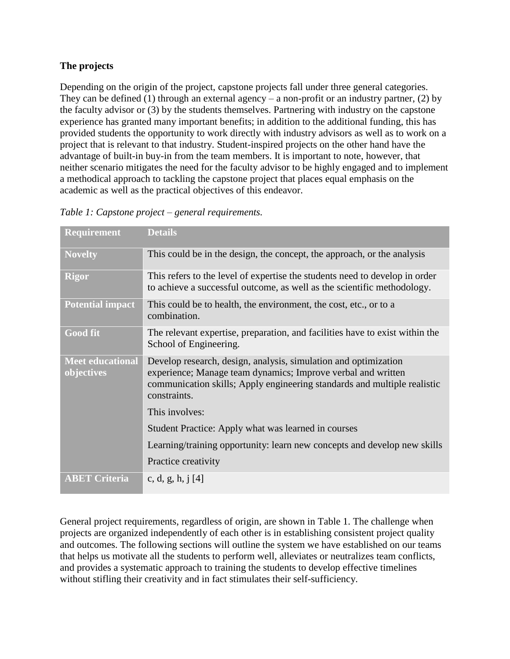### **The projects**

Depending on the origin of the project, capstone projects fall under three general categories. They can be defined (1) through an external agency – a non-profit or an industry partner, (2) by the faculty advisor or (3) by the students themselves. Partnering with industry on the capstone experience has granted many important benefits; in addition to the additional funding, this has provided students the opportunity to work directly with industry advisors as well as to work on a project that is relevant to that industry. Student-inspired projects on the other hand have the advantage of built-in buy-in from the team members. It is important to note, however, that neither scenario mitigates the need for the faculty advisor to be highly engaged and to implement a methodical approach to tackling the capstone project that places equal emphasis on the academic as well as the practical objectives of this endeavor.

| Requirement                           | <b>Details</b>                                                                                                                                                                                                              |
|---------------------------------------|-----------------------------------------------------------------------------------------------------------------------------------------------------------------------------------------------------------------------------|
| <b>Novelty</b>                        | This could be in the design, the concept, the approach, or the analysis                                                                                                                                                     |
| <b>Rigor</b>                          | This refers to the level of expertise the students need to develop in order<br>to achieve a successful outcome, as well as the scientific methodology.                                                                      |
| <b>Potential impact</b>               | This could be to health, the environment, the cost, etc., or to a<br>combination.                                                                                                                                           |
| <b>Good fit</b>                       | The relevant expertise, preparation, and facilities have to exist within the<br>School of Engineering.                                                                                                                      |
| <b>Meet educational</b><br>objectives | Develop research, design, analysis, simulation and optimization<br>experience; Manage team dynamics; Improve verbal and written<br>communication skills; Apply engineering standards and multiple realistic<br>constraints. |
|                                       | This involves:                                                                                                                                                                                                              |
|                                       | Student Practice: Apply what was learned in courses                                                                                                                                                                         |
|                                       | Learning/training opportunity: learn new concepts and develop new skills                                                                                                                                                    |
|                                       | Practice creativity                                                                                                                                                                                                         |
| <b>ABET Criteria</b>                  | c, d, g, h, j $[4]$                                                                                                                                                                                                         |

<span id="page-2-0"></span>*Table 1: Capstone project – general requirements.*

General project requirements, regardless of origin, are shown in [Table 1.](#page-2-0) The challenge when projects are organized independently of each other is in establishing consistent project quality and outcomes. The following sections will outline the system we have established on our teams that helps us motivate all the students to perform well, alleviates or neutralizes team conflicts, and provides a systematic approach to training the students to develop effective timelines without stifling their creativity and in fact stimulates their self-sufficiency.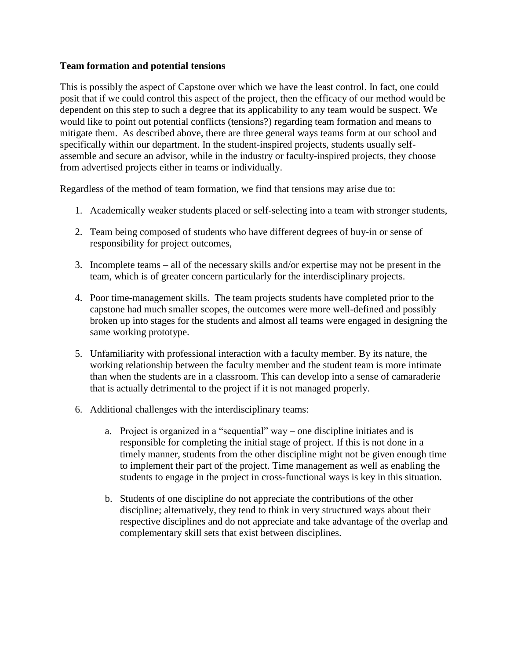### **Team formation and potential tensions**

This is possibly the aspect of Capstone over which we have the least control. In fact, one could posit that if we could control this aspect of the project, then the efficacy of our method would be dependent on this step to such a degree that its applicability to any team would be suspect. We would like to point out potential conflicts (tensions?) regarding team formation and means to mitigate them. As described above, there are three general ways teams form at our school and specifically within our department. In the student-inspired projects, students usually selfassemble and secure an advisor, while in the industry or faculty-inspired projects, they choose from advertised projects either in teams or individually.

Regardless of the method of team formation, we find that tensions may arise due to:

- 1. Academically weaker students placed or self-selecting into a team with stronger students,
- 2. Team being composed of students who have different degrees of buy-in or sense of responsibility for project outcomes,
- 3. Incomplete teams all of the necessary skills and/or expertise may not be present in the team, which is of greater concern particularly for the interdisciplinary projects.
- 4. Poor time-management skills. The team projects students have completed prior to the capstone had much smaller scopes, the outcomes were more well-defined and possibly broken up into stages for the students and almost all teams were engaged in designing the same working prototype.
- 5. Unfamiliarity with professional interaction with a faculty member. By its nature, the working relationship between the faculty member and the student team is more intimate than when the students are in a classroom. This can develop into a sense of camaraderie that is actually detrimental to the project if it is not managed properly.
- 6. Additional challenges with the interdisciplinary teams:
	- a. Project is organized in a "sequential" way one discipline initiates and is responsible for completing the initial stage of project. If this is not done in a timely manner, students from the other discipline might not be given enough time to implement their part of the project. Time management as well as enabling the students to engage in the project in cross-functional ways is key in this situation.
	- b. Students of one discipline do not appreciate the contributions of the other discipline; alternatively, they tend to think in very structured ways about their respective disciplines and do not appreciate and take advantage of the overlap and complementary skill sets that exist between disciplines.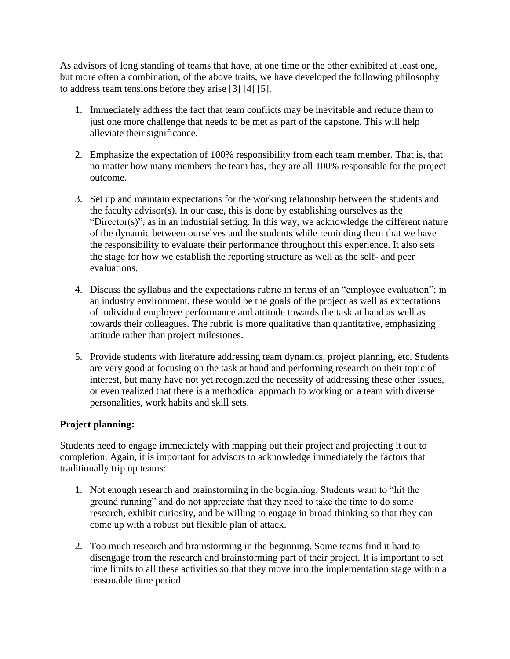As advisors of long standing of teams that have, at one time or the other exhibited at least one, but more often a combination, of the above traits, we have developed the following philosophy to address team tensions before they arise [3] [4] [5].

- 1. Immediately address the fact that team conflicts may be inevitable and reduce them to just one more challenge that needs to be met as part of the capstone. This will help alleviate their significance.
- 2. Emphasize the expectation of 100% responsibility from each team member. That is, that no matter how many members the team has, they are all 100% responsible for the project outcome.
- 3. Set up and maintain expectations for the working relationship between the students and the faculty advisor(s). In our case, this is done by establishing ourselves as the "Director(s)", as in an industrial setting. In this way, we acknowledge the different nature of the dynamic between ourselves and the students while reminding them that we have the responsibility to evaluate their performance throughout this experience. It also sets the stage for how we establish the reporting structure as well as the self- and peer evaluations.
- 4. Discuss the syllabus and the expectations rubric in terms of an "employee evaluation"; in an industry environment, these would be the goals of the project as well as expectations of individual employee performance and attitude towards the task at hand as well as towards their colleagues. The rubric is more qualitative than quantitative, emphasizing attitude rather than project milestones.
- 5. Provide students with literature addressing team dynamics, project planning, etc. Students are very good at focusing on the task at hand and performing research on their topic of interest, but many have not yet recognized the necessity of addressing these other issues, or even realized that there is a methodical approach to working on a team with diverse personalities, work habits and skill sets.

### **Project planning:**

Students need to engage immediately with mapping out their project and projecting it out to completion. Again, it is important for advisors to acknowledge immediately the factors that traditionally trip up teams:

- 1. Not enough research and brainstorming in the beginning. Students want to "hit the ground running" and do not appreciate that they need to take the time to do some research, exhibit curiosity, and be willing to engage in broad thinking so that they can come up with a robust but flexible plan of attack.
- 2. Too much research and brainstorming in the beginning. Some teams find it hard to disengage from the research and brainstorming part of their project. It is important to set time limits to all these activities so that they move into the implementation stage within a reasonable time period.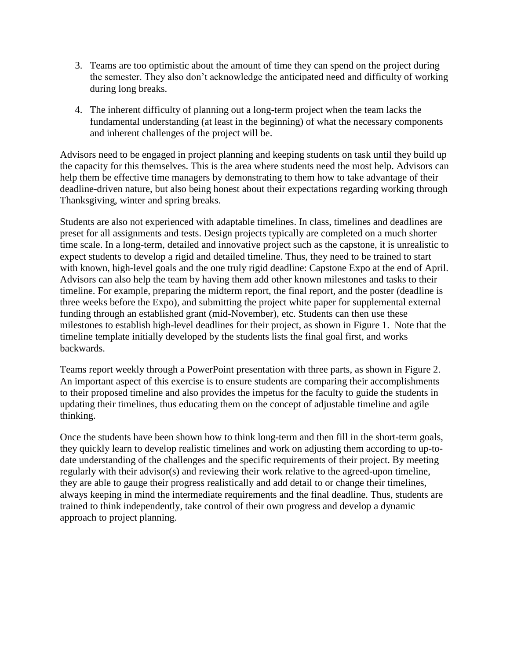- 3. Teams are too optimistic about the amount of time they can spend on the project during the semester. They also don't acknowledge the anticipated need and difficulty of working during long breaks.
- 4. The inherent difficulty of planning out a long-term project when the team lacks the fundamental understanding (at least in the beginning) of what the necessary components and inherent challenges of the project will be.

Advisors need to be engaged in project planning and keeping students on task until they build up the capacity for this themselves. This is the area where students need the most help. Advisors can help them be effective time managers by demonstrating to them how to take advantage of their deadline-driven nature, but also being honest about their expectations regarding working through Thanksgiving, winter and spring breaks.

Students are also not experienced with adaptable timelines. In class, timelines and deadlines are preset for all assignments and tests. Design projects typically are completed on a much shorter time scale. In a long-term, detailed and innovative project such as the capstone, it is unrealistic to expect students to develop a rigid and detailed timeline. Thus, they need to be trained to start with known, high-level goals and the one truly rigid deadline: Capstone Expo at the end of April. Advisors can also help the team by having them add other known milestones and tasks to their timeline. For example, preparing the midterm report, the final report, and the poster (deadline is three weeks before the Expo), and submitting the project white paper for supplemental external funding through an established grant (mid-November), etc. Students can then use these milestones to establish high-level deadlines for their project, as shown in [Figure 1.](#page-6-0) Note that the timeline template initially developed by the students lists the final goal first, and works backwards.

Teams report weekly through a PowerPoint presentation with three parts, as shown in [Figure 2.](#page-6-1) An important aspect of this exercise is to ensure students are comparing their accomplishments to their proposed timeline and also provides the impetus for the faculty to guide the students in updating their timelines, thus educating them on the concept of adjustable timeline and agile thinking.

Once the students have been shown how to think long-term and then fill in the short-term goals, they quickly learn to develop realistic timelines and work on adjusting them according to up-todate understanding of the challenges and the specific requirements of their project. By meeting regularly with their advisor(s) and reviewing their work relative to the agreed-upon timeline, they are able to gauge their progress realistically and add detail to or change their timelines, always keeping in mind the intermediate requirements and the final deadline. Thus, students are trained to think independently, take control of their own progress and develop a dynamic approach to project planning.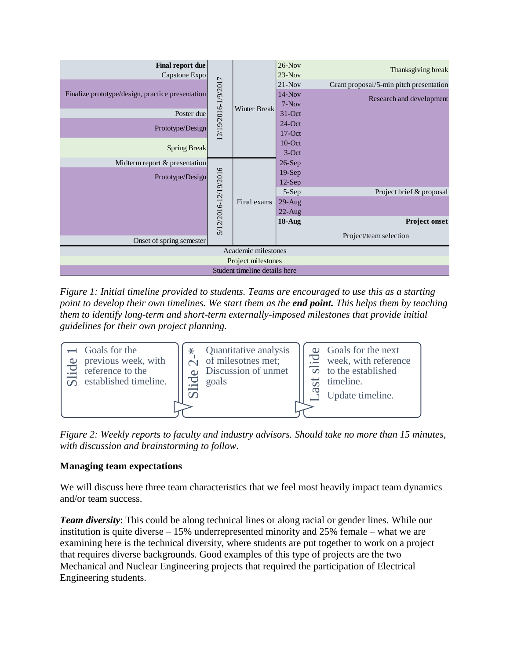| Final report due<br>Capstone Expo                |  | 12/19/2016-1/9/2017<br>Winter Break | $26-Nov$<br>$23-Nov$ | Thanksgiving break                      |  |  |
|--------------------------------------------------|--|-------------------------------------|----------------------|-----------------------------------------|--|--|
|                                                  |  |                                     | $21-Nov$             | Grant proposal/5-min pitch presentation |  |  |
| Finalize prototype/design, practice presentation |  |                                     | $14-Nov$             | Research and development                |  |  |
|                                                  |  |                                     | $7-Nov$              |                                         |  |  |
| Poster due                                       |  |                                     | $31-Oct$             |                                         |  |  |
| Prototype/Design                                 |  |                                     | $24$ -Oct            |                                         |  |  |
|                                                  |  |                                     | $17-Oct$             |                                         |  |  |
| <b>Spring Break</b>                              |  |                                     | $10$ -Oct            |                                         |  |  |
|                                                  |  |                                     | $3-Oct$              |                                         |  |  |
| Midterm report & presentation                    |  |                                     | $26-Sep$             |                                         |  |  |
| Prototype/Design                                 |  |                                     | $19-Sep$             |                                         |  |  |
| 5/12/2016-12/19/2016                             |  | Final exams                         | $12-Sep$             |                                         |  |  |
|                                                  |  |                                     | 5-Sep                | Project brief & proposal                |  |  |
|                                                  |  |                                     | $29$ -Aug            |                                         |  |  |
|                                                  |  |                                     | $22-Aug$             |                                         |  |  |
|                                                  |  |                                     | $18$ -Aug            | <b>Project onset</b>                    |  |  |
| Onset of spring semester                         |  |                                     |                      | Project/team selection                  |  |  |
| Academic milestones                              |  |                                     |                      |                                         |  |  |
| Project milestones                               |  |                                     |                      |                                         |  |  |
| Student timeline details here                    |  |                                     |                      |                                         |  |  |

<span id="page-6-0"></span>*Figure 1: Initial timeline provided to students. Teams are encouraged to use this as a starting point to develop their own timelines. We start them as the end point. This helps them by teaching them to identify long-term and short-term externally-imposed milestones that provide initial guidelines for their own project planning.* 



<span id="page-6-1"></span>*Figure 2: Weekly reports to faculty and industry advisors. Should take no more than 15 minutes, with discussion and brainstorming to follow.*

## **Managing team expectations**

We will discuss here three team characteristics that we feel most heavily impact team dynamics and/or team success.

*Team diversity*: This could be along technical lines or along racial or gender lines. While our institution is quite diverse – 15% underrepresented minority and 25% female – what we are examining here is the technical diversity, where students are put together to work on a project that requires diverse backgrounds. Good examples of this type of projects are the two Mechanical and Nuclear Engineering projects that required the participation of Electrical Engineering students.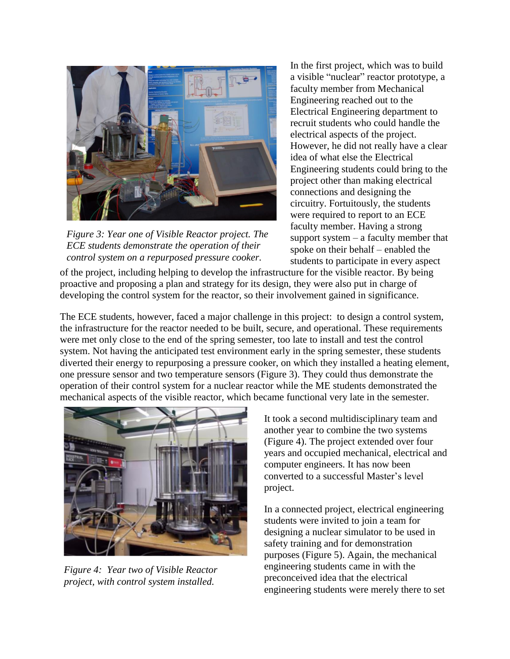

*Figure 3: Year one of Visible Reactor project. The ECE students demonstrate the operation of their control system on a repurposed pressure cooker.*

In the first project, which was to build a visible "nuclear" reactor prototype, a faculty member from Mechanical Engineering reached out to the Electrical Engineering department to recruit students who could handle the electrical aspects of the project. However, he did not really have a clear idea of what else the Electrical Engineering students could bring to the project other than making electrical connections and designing the circuitry. Fortuitously, the students were required to report to an ECE faculty member. Having a strong support system – a faculty member that spoke on their behalf – enabled the students to participate in every aspect

of the project, including helping to develop the infrastructure for the visible reactor. By being proactive and proposing a plan and strategy for its design, they were also put in charge of developing the control system for the reactor, so their involvement gained in significance.

The ECE students, however, faced a major challenge in this project: to design a control system, the infrastructure for the reactor needed to be built, secure, and operational. These requirements were met only close to the end of the spring semester, too late to install and test the control system. Not having the anticipated test environment early in the spring semester, these students diverted their energy to repurposing a pressure cooker, on which they installed a heating element, one pressure sensor and two temperature sensors (Figure 3). They could thus demonstrate the operation of their control system for a nuclear reactor while the ME students demonstrated the mechanical aspects of the visible reactor, which became functional very late in the semester.

<span id="page-7-0"></span>

*Figure 4: Year two of Visible Reactor project, with control system installed.*

It took a second multidisciplinary team and another year to combine the two systems [\(Figure 4\)](#page-7-0). The project extended over four years and occupied mechanical, electrical and computer engineers. It has now been converted to a successful Master's level project.

In a connected project, electrical engineering students were invited to join a team for designing a nuclear simulator to be used in safety training and for demonstration purposes (Figure 5). Again, the mechanical engineering students came in with the preconceived idea that the electrical engineering students were merely there to set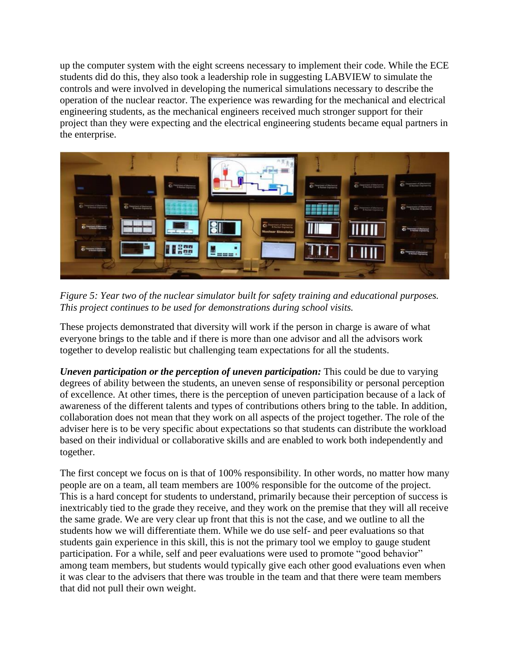up the computer system with the eight screens necessary to implement their code. While the ECE students did do this, they also took a leadership role in suggesting LABVIEW to simulate the controls and were involved in developing the numerical simulations necessary to describe the operation of the nuclear reactor. The experience was rewarding for the mechanical and electrical engineering students, as the mechanical engineers received much stronger support for their project than they were expecting and the electrical engineering students became equal partners in the enterprise.



*Figure 5: Year two of the nuclear simulator built for safety training and educational purposes. This project continues to be used for demonstrations during school visits.*

These projects demonstrated that diversity will work if the person in charge is aware of what everyone brings to the table and if there is more than one advisor and all the advisors work together to develop realistic but challenging team expectations for all the students.

*Uneven participation or the perception of uneven participation:* This could be due to varying degrees of ability between the students, an uneven sense of responsibility or personal perception of excellence. At other times, there is the perception of uneven participation because of a lack of awareness of the different talents and types of contributions others bring to the table. In addition, collaboration does not mean that they work on all aspects of the project together. The role of the adviser here is to be very specific about expectations so that students can distribute the workload based on their individual or collaborative skills and are enabled to work both independently and together.

The first concept we focus on is that of 100% responsibility. In other words, no matter how many people are on a team, all team members are 100% responsible for the outcome of the project. This is a hard concept for students to understand, primarily because their perception of success is inextricably tied to the grade they receive, and they work on the premise that they will all receive the same grade. We are very clear up front that this is not the case, and we outline to all the students how we will differentiate them. While we do use self- and peer evaluations so that students gain experience in this skill, this is not the primary tool we employ to gauge student participation. For a while, self and peer evaluations were used to promote "good behavior" among team members, but students would typically give each other good evaluations even when it was clear to the advisers that there was trouble in the team and that there were team members that did not pull their own weight.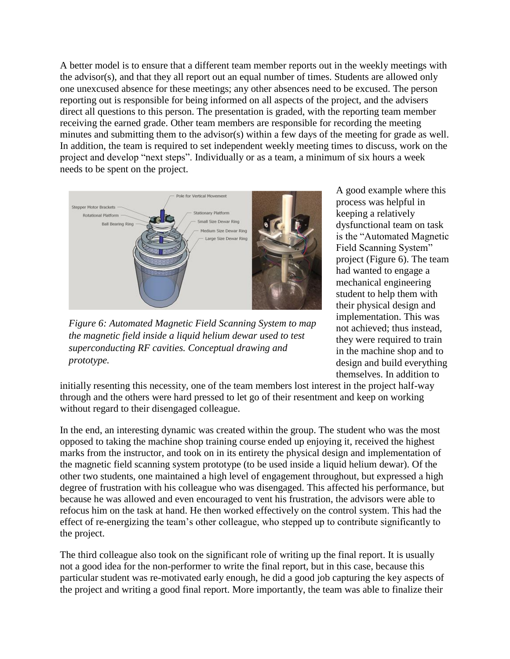A better model is to ensure that a different team member reports out in the weekly meetings with the advisor(s), and that they all report out an equal number of times. Students are allowed only one unexcused absence for these meetings; any other absences need to be excused. The person reporting out is responsible for being informed on all aspects of the project, and the advisers direct all questions to this person. The presentation is graded, with the reporting team member receiving the earned grade. Other team members are responsible for recording the meeting minutes and submitting them to the advisor(s) within a few days of the meeting for grade as well. In addition, the team is required to set independent weekly meeting times to discuss, work on the project and develop "next steps". Individually or as a team, a minimum of six hours a week needs to be spent on the project.



*Figure 6: Automated Magnetic Field Scanning System to map the magnetic field inside a liquid helium dewar used to test superconducting RF cavities. Conceptual drawing and prototype.* 

A good example where this process was helpful in keeping a relatively dysfunctional team on task is the "Automated Magnetic Field Scanning System" project (Figure 6). The team had wanted to engage a mechanical engineering student to help them with their physical design and implementation. This was not achieved; thus instead, they were required to train in the machine shop and to design and build everything themselves. In addition to

initially resenting this necessity, one of the team members lost interest in the project half-way through and the others were hard pressed to let go of their resentment and keep on working without regard to their disengaged colleague.

In the end, an interesting dynamic was created within the group. The student who was the most opposed to taking the machine shop training course ended up enjoying it, received the highest marks from the instructor, and took on in its entirety the physical design and implementation of the magnetic field scanning system prototype (to be used inside a liquid helium dewar). Of the other two students, one maintained a high level of engagement throughout, but expressed a high degree of frustration with his colleague who was disengaged. This affected his performance, but because he was allowed and even encouraged to vent his frustration, the advisors were able to refocus him on the task at hand. He then worked effectively on the control system. This had the effect of re-energizing the team's other colleague, who stepped up to contribute significantly to the project.

The third colleague also took on the significant role of writing up the final report. It is usually not a good idea for the non-performer to write the final report, but in this case, because this particular student was re-motivated early enough, he did a good job capturing the key aspects of the project and writing a good final report. More importantly, the team was able to finalize their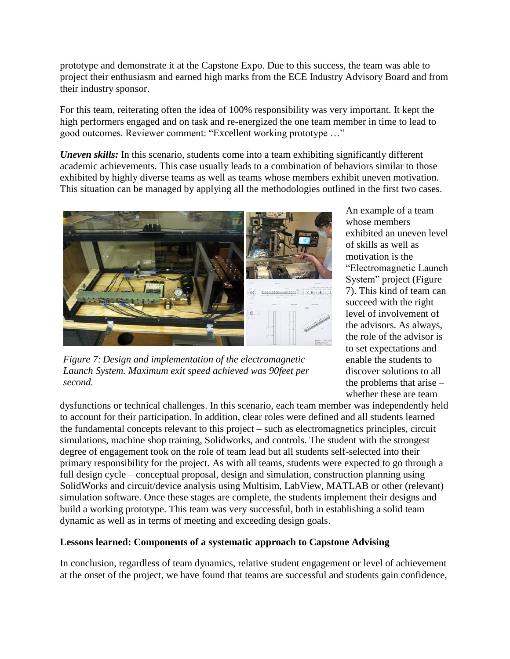prototype and demonstrate it at the Capstone Expo. Due to this success, the team was able to project their enthusiasm and earned high marks from the ECE Industry Advisory Board and from their industry sponsor.

For this team, reiterating often the idea of 100% responsibility was very important. It kept the high performers engaged and on task and re-energized the one team member in time to lead to good outcomes. Reviewer comment: "Excellent working prototype …"

*Uneven skills:* In this scenario, students come into a team exhibiting significantly different academic achievements. This case usually leads to a combination of behaviors similar to those exhibited by highly diverse teams as well as teams whose members exhibit uneven motivation. This situation can be managed by applying all the methodologies outlined in the first two cases.



*Figure 7: Design and implementation of the electromagnetic Launch System. Maximum exit speed achieved was 90feet per second.*

An example of a team whose members exhibited an uneven level of skills as well as motivation is the "Electromagnetic Launch System" project (Figure 7). This kind of team can succeed with the right level of involvement of the advisors. As always, the role of the advisor is to set expectations and enable the students to discover solutions to all the problems that arise – whether these are team

dysfunctions or technical challenges. In this scenario, each team member was independently held to account for their participation. In addition, clear roles were defined and all students learned the fundamental concepts relevant to this project – such as electromagnetics principles, circuit simulations, machine shop training, Solidworks, and controls. The student with the strongest degree of engagement took on the role of team lead but all students self-selected into their primary responsibility for the project. As with all teams, students were expected to go through a full design cycle – conceptual proposal, design and simulation, construction planning using SolidWorks and circuit/device analysis using Multisim, LabView, MATLAB or other (relevant) simulation software. Once these stages are complete, the students implement their designs and build a working prototype. This team was very successful, both in establishing a solid team dynamic as well as in terms of meeting and exceeding design goals.

### **Lessons learned: Components of a systematic approach to Capstone Advising**

In conclusion, regardless of team dynamics, relative student engagement or level of achievement at the onset of the project, we have found that teams are successful and students gain confidence,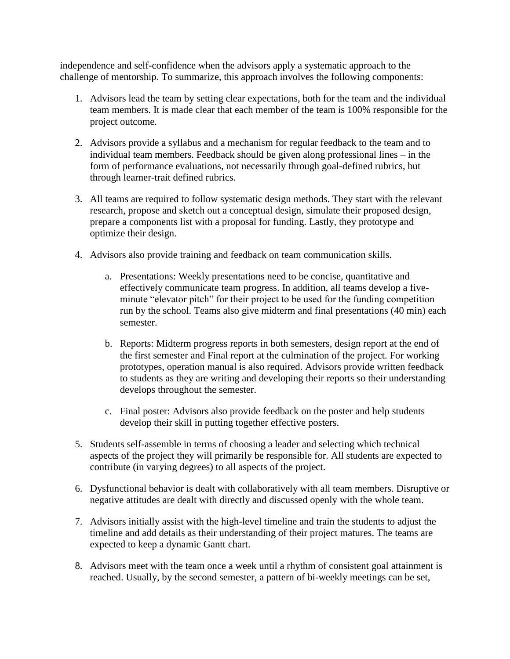independence and self-confidence when the advisors apply a systematic approach to the challenge of mentorship. To summarize, this approach involves the following components:

- 1. Advisors lead the team by setting clear expectations, both for the team and the individual team members. It is made clear that each member of the team is 100% responsible for the project outcome.
- 2. Advisors provide a syllabus and a mechanism for regular feedback to the team and to individual team members. Feedback should be given along professional lines – in the form of performance evaluations, not necessarily through goal-defined rubrics, but through learner-trait defined rubrics.
- 3. All teams are required to follow systematic design methods. They start with the relevant research, propose and sketch out a conceptual design, simulate their proposed design, prepare a components list with a proposal for funding. Lastly, they prototype and optimize their design.
- 4. Advisors also provide training and feedback on team communication skills.
	- a. Presentations: Weekly presentations need to be concise, quantitative and effectively communicate team progress. In addition, all teams develop a fiveminute "elevator pitch" for their project to be used for the funding competition run by the school. Teams also give midterm and final presentations (40 min) each semester.
	- b. Reports: Midterm progress reports in both semesters, design report at the end of the first semester and Final report at the culmination of the project. For working prototypes, operation manual is also required. Advisors provide written feedback to students as they are writing and developing their reports so their understanding develops throughout the semester.
	- c. Final poster: Advisors also provide feedback on the poster and help students develop their skill in putting together effective posters.
- 5. Students self-assemble in terms of choosing a leader and selecting which technical aspects of the project they will primarily be responsible for. All students are expected to contribute (in varying degrees) to all aspects of the project.
- 6. Dysfunctional behavior is dealt with collaboratively with all team members. Disruptive or negative attitudes are dealt with directly and discussed openly with the whole team.
- 7. Advisors initially assist with the high-level timeline and train the students to adjust the timeline and add details as their understanding of their project matures. The teams are expected to keep a dynamic Gantt chart.
- 8. Advisors meet with the team once a week until a rhythm of consistent goal attainment is reached. Usually, by the second semester, a pattern of bi-weekly meetings can be set,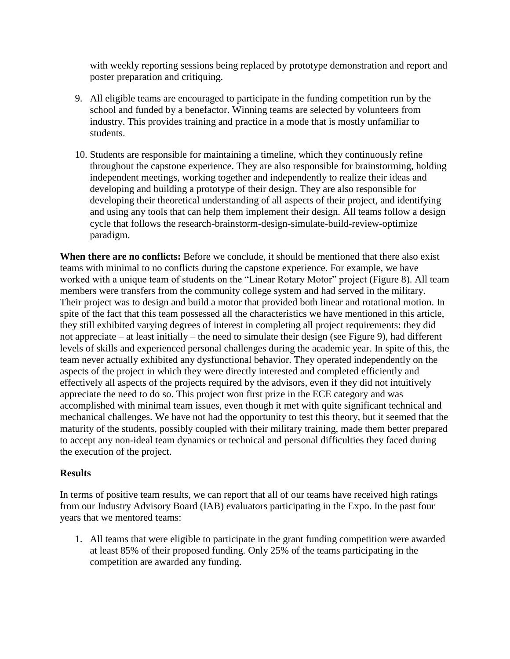with weekly reporting sessions being replaced by prototype demonstration and report and poster preparation and critiquing.

- 9. All eligible teams are encouraged to participate in the funding competition run by the school and funded by a benefactor. Winning teams are selected by volunteers from industry. This provides training and practice in a mode that is mostly unfamiliar to students.
- 10. Students are responsible for maintaining a timeline, which they continuously refine throughout the capstone experience. They are also responsible for brainstorming, holding independent meetings, working together and independently to realize their ideas and developing and building a prototype of their design. They are also responsible for developing their theoretical understanding of all aspects of their project, and identifying and using any tools that can help them implement their design. All teams follow a design cycle that follows the research-brainstorm-design-simulate-build-review-optimize paradigm.

**When there are no conflicts:** Before we conclude, it should be mentioned that there also exist teams with minimal to no conflicts during the capstone experience. For example, we have worked with a unique team of students on the "Linear Rotary Motor" project [\(Figure 8\)](#page-13-0). All team members were transfers from the community college system and had served in the military. Their project was to design and build a motor that provided both linear and rotational motion. In spite of the fact that this team possessed all the characteristics we have mentioned in this article, they still exhibited varying degrees of interest in completing all project requirements: they did not appreciate – at least initially – the need to simulate their design (see [Figure 9\)](#page-13-1), had different levels of skills and experienced personal challenges during the academic year. In spite of this, the team never actually exhibited any dysfunctional behavior. They operated independently on the aspects of the project in which they were directly interested and completed efficiently and effectively all aspects of the projects required by the advisors, even if they did not intuitively appreciate the need to do so. This project won first prize in the ECE category and was accomplished with minimal team issues, even though it met with quite significant technical and mechanical challenges. We have not had the opportunity to test this theory, but it seemed that the maturity of the students, possibly coupled with their military training, made them better prepared to accept any non-ideal team dynamics or technical and personal difficulties they faced during the execution of the project.

### **Results**

In terms of positive team results, we can report that all of our teams have received high ratings from our Industry Advisory Board (IAB) evaluators participating in the Expo. In the past four years that we mentored teams:

1. All teams that were eligible to participate in the grant funding competition were awarded at least 85% of their proposed funding. Only 25% of the teams participating in the competition are awarded any funding.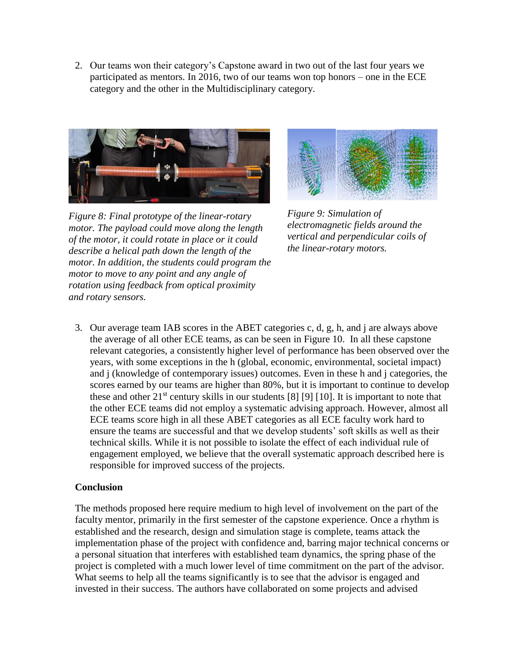2. Our teams won their category's Capstone award in two out of the last four years we participated as mentors. In 2016, two of our teams won top honors – one in the ECE category and the other in the Multidisciplinary category.

<span id="page-13-0"></span>

*Figure 8: Final prototype of the linear-rotary motor. The payload could move along the length of the motor, it could rotate in place or it could describe a helical path down the length of the motor. In addition, the students could program the motor to move to any point and any angle of rotation using feedback from optical proximity and rotary sensors.* 



<span id="page-13-1"></span>*Figure 9: Simulation of electromagnetic fields around the vertical and perpendicular coils of the linear-rotary motors.*

3. Our average team IAB scores in the ABET categories c, d, g, h, and j are always above the average of all other ECE teams, as can be seen in [Figure 10.](#page-14-0) In all these capstone relevant categories, a consistently higher level of performance has been observed over the years, with some exceptions in the h (global, economic, environmental, societal impact) and j (knowledge of contemporary issues) outcomes. Even in these h and j categories, the scores earned by our teams are higher than 80%, but it is important to continue to develop these and other  $21^{st}$  century skills in our students [8] [9] [10]. It is important to note that the other ECE teams did not employ a systematic advising approach. However, almost all ECE teams score high in all these ABET categories as all ECE faculty work hard to ensure the teams are successful and that we develop students' soft skills as well as their technical skills. While it is not possible to isolate the effect of each individual rule of engagement employed, we believe that the overall systematic approach described here is responsible for improved success of the projects.

### **Conclusion**

The methods proposed here require medium to high level of involvement on the part of the faculty mentor, primarily in the first semester of the capstone experience. Once a rhythm is established and the research, design and simulation stage is complete, teams attack the implementation phase of the project with confidence and, barring major technical concerns or a personal situation that interferes with established team dynamics, the spring phase of the project is completed with a much lower level of time commitment on the part of the advisor. What seems to help all the teams significantly is to see that the advisor is engaged and invested in their success. The authors have collaborated on some projects and advised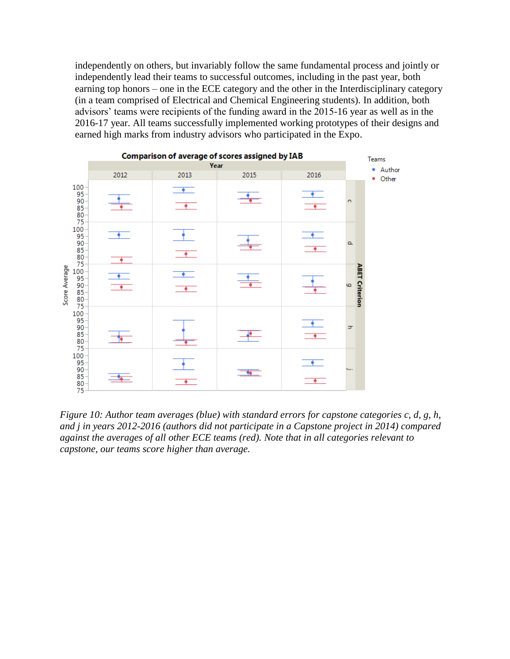independently on others, but invariably follow the same fundamental process and jointly or independently lead their teams to successful outcomes, including in the past year, both earning top honors – one in the ECE category and the other in the Interdisciplinary category (in a team comprised of Electrical and Chemical Engineering students). In addition, both advisors' teams were recipients of the funding award in the 2015-16 year as well as in the 2016-17 year. All teams successfully implemented working prototypes of their designs and earned high marks from industry advisors who participated in the Expo.



<span id="page-14-0"></span>*Figure 10: Author team averages (blue) with standard errors for capstone categories c, d, g, h, and j in years 2012-2016 (authors did not participate in a Capstone project in 2014) compared against the averages of all other ECE teams (red). Note that in all categories relevant to capstone, our teams score higher than average.*